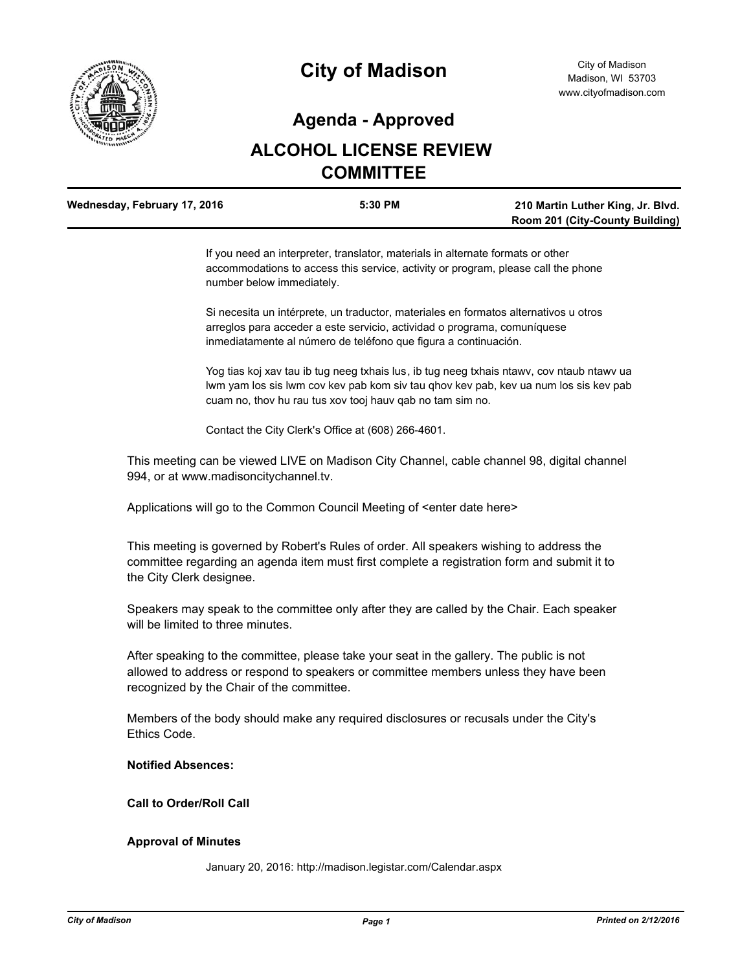

# **City of Madison**

## **Agenda - Approved**

# **ALCOHOL LICENSE REVIEW COMMITTEE**

| Wednesday, February 17, 2016 | 5:30 PM | 210 Martin Luther King, Jr. Blvd.      |
|------------------------------|---------|----------------------------------------|
|                              |         | <b>Room 201 (City-County Building)</b> |

If you need an interpreter, translator, materials in alternate formats or other accommodations to access this service, activity or program, please call the phone number below immediately.

Si necesita un intérprete, un traductor, materiales en formatos alternativos u otros arreglos para acceder a este servicio, actividad o programa, comuníquese inmediatamente al número de teléfono que figura a continuación.

Yog tias koj xav tau ib tug neeg txhais lus, ib tug neeg txhais ntawv, cov ntaub ntawv ua lwm yam los sis lwm cov kev pab kom siv tau qhov kev pab, kev ua num los sis kev pab cuam no, thov hu rau tus xov tooj hauv qab no tam sim no.

Contact the City Clerk's Office at (608) 266-4601.

This meeting can be viewed LIVE on Madison City Channel, cable channel 98, digital channel 994, or at www.madisoncitychannel.tv.

Applications will go to the Common Council Meeting of <enter date here>

This meeting is governed by Robert's Rules of order. All speakers wishing to address the committee regarding an agenda item must first complete a registration form and submit it to the City Clerk designee.

Speakers may speak to the committee only after they are called by the Chair. Each speaker will be limited to three minutes.

After speaking to the committee, please take your seat in the gallery. The public is not allowed to address or respond to speakers or committee members unless they have been recognized by the Chair of the committee.

Members of the body should make any required disclosures or recusals under the City's Ethics Code.

#### **Notified Absences:**

**Call to Order/Roll Call**

#### **Approval of Minutes**

January 20, 2016: http://madison.legistar.com/Calendar.aspx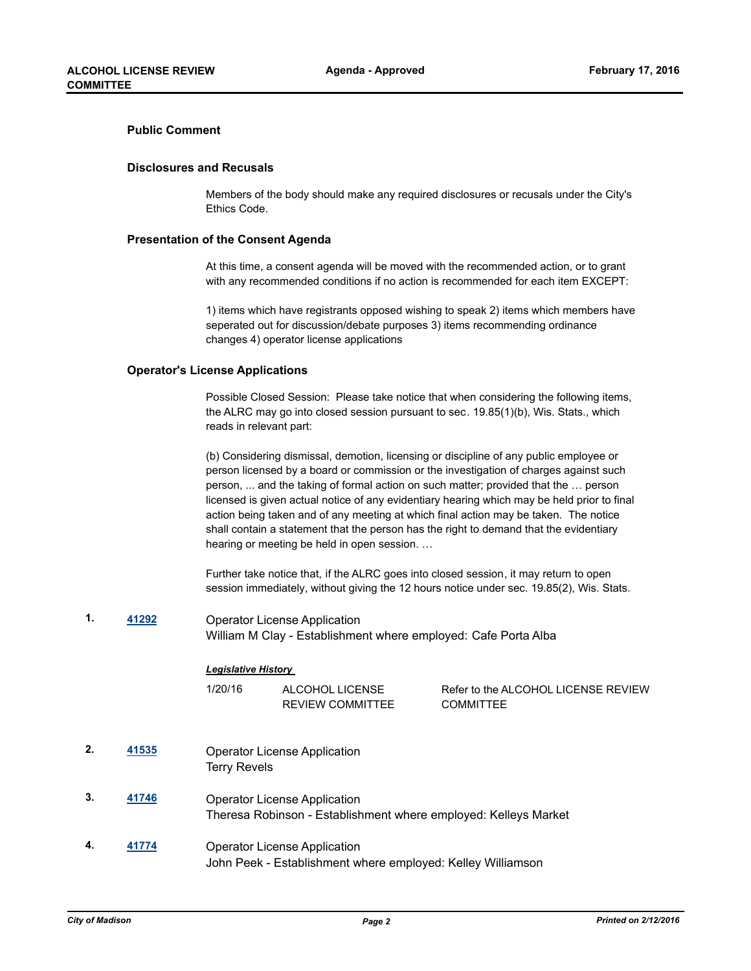#### **Public Comment**

#### **Disclosures and Recusals**

Members of the body should make any required disclosures or recusals under the City's Ethics Code.

#### **Presentation of the Consent Agenda**

At this time, a consent agenda will be moved with the recommended action, or to grant with any recommended conditions if no action is recommended for each item EXCEPT:

1) items which have registrants opposed wishing to speak 2) items which members have seperated out for discussion/debate purposes 3) items recommending ordinance changes 4) operator license applications

#### **Operator's License Applications**

Possible Closed Session: Please take notice that when considering the following items, the ALRC may go into closed session pursuant to sec. 19.85(1)(b), Wis. Stats., which reads in relevant part:

(b) Considering dismissal, demotion, licensing or discipline of any public employee or person licensed by a board or commission or the investigation of charges against such person, ... and the taking of formal action on such matter; provided that the … person licensed is given actual notice of any evidentiary hearing which may be held prior to final action being taken and of any meeting at which final action may be taken. The notice shall contain a statement that the person has the right to demand that the evidentiary hearing or meeting be held in open session. …

Further take notice that, if the ALRC goes into closed session, it may return to open session immediately, without giving the 12 hours notice under sec. 19.85(2), Wis. Stats.

**1. [41292](http://madison.legistar.com/gateway.aspx?m=l&id=/matter.aspx?key=45726)** Operator License Application William M Clay - Establishment where employed: Cafe Porta Alba

#### *Legislative History*

| 1/20/16 | ALCOHOL LICENSE         |
|---------|-------------------------|
|         | <b>REVIEW COMMITTEE</b> |

Refer to the ALCOHOL LICENSE REVIEW **COMMITTEE** 

- **2. [41535](http://madison.legistar.com/gateway.aspx?m=l&id=/matter.aspx?key=45928)** Operator License Application Terry Revels
- **3. [41746](http://madison.legistar.com/gateway.aspx?m=l&id=/matter.aspx?key=46095)** Operator License Application Theresa Robinson - Establishment where employed: Kelleys Market
- **4. [41774](http://madison.legistar.com/gateway.aspx?m=l&id=/matter.aspx?key=46116)** Operator License Application John Peek - Establishment where employed: Kelley Williamson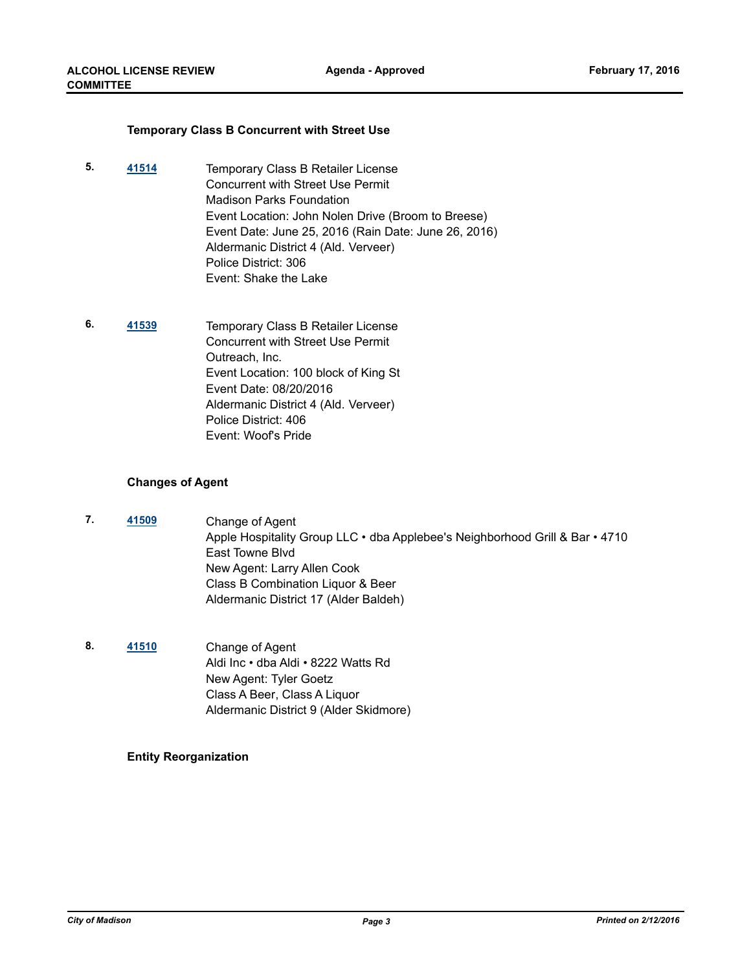#### **Temporary Class B Concurrent with Street Use**

- **5. [41514](http://madison.legistar.com/gateway.aspx?m=l&id=/matter.aspx?key=45907)** Temporary Class B Retailer License Concurrent with Street Use Permit Madison Parks Foundation Event Location: John Nolen Drive (Broom to Breese) Event Date: June 25, 2016 (Rain Date: June 26, 2016) Aldermanic District 4 (Ald. Verveer) Police District: 306 Event: Shake the Lake
- **6. [41539](http://madison.legistar.com/gateway.aspx?m=l&id=/matter.aspx?key=45932)** Temporary Class B Retailer License Concurrent with Street Use Permit Outreach, Inc. Event Location: 100 block of King St Event Date: 08/20/2016 Aldermanic District 4 (Ald. Verveer) Police District: 406 Event: Woof's Pride

#### **Changes of Agent**

- **7. [41509](http://madison.legistar.com/gateway.aspx?m=l&id=/matter.aspx?key=45902)** Change of Agent Apple Hospitality Group LLC • dba Applebee's Neighborhood Grill & Bar • 4710 East Towne Blvd New Agent: Larry Allen Cook Class B Combination Liquor & Beer Aldermanic District 17 (Alder Baldeh)
- **8. [41510](http://madison.legistar.com/gateway.aspx?m=l&id=/matter.aspx?key=45903)** Change of Agent Aldi Inc • dba Aldi • 8222 Watts Rd New Agent: Tyler Goetz Class A Beer, Class A Liquor Aldermanic District 9 (Alder Skidmore)

### **Entity Reorganization**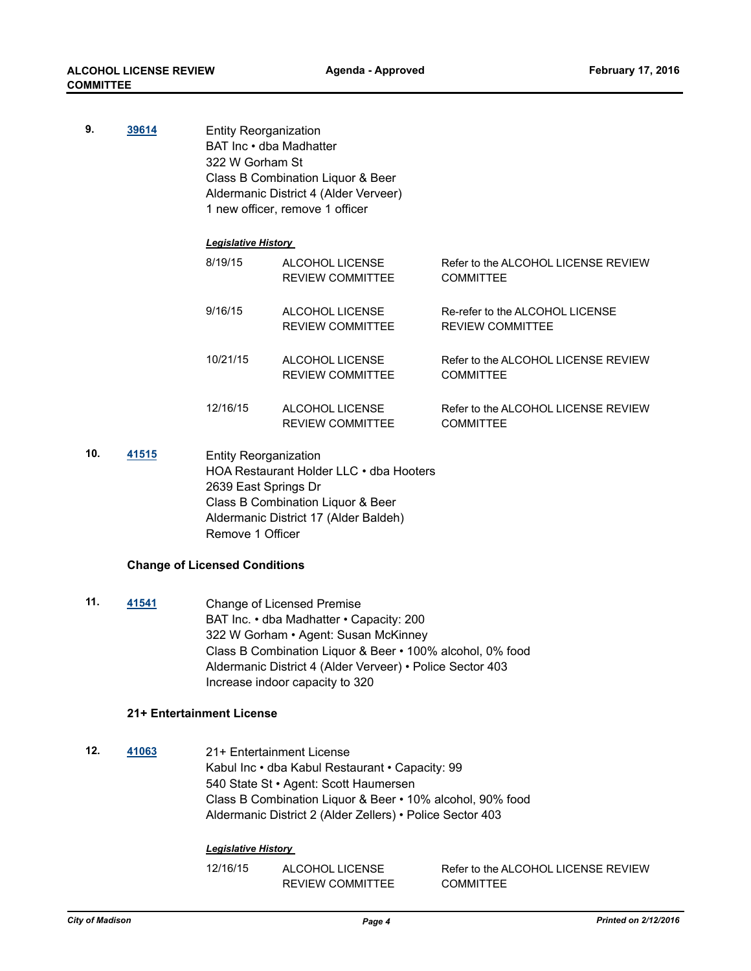| 9.  | 39614 |                              | <b>Entity Reorganization</b><br>BAT Inc • dba Madhatter<br>322 W Gorham St<br>Class B Combination Liquor & Beer<br>Aldermanic District 4 (Alder Verveer)<br>1 new officer, remove 1 officer |                                                            |  |  |
|-----|-------|------------------------------|---------------------------------------------------------------------------------------------------------------------------------------------------------------------------------------------|------------------------------------------------------------|--|--|
|     |       | <b>Legislative History</b>   |                                                                                                                                                                                             |                                                            |  |  |
|     |       | 8/19/15                      | ALCOHOL LICENSE<br><b>REVIEW COMMITTEE</b>                                                                                                                                                  | Refer to the ALCOHOL LICENSE REVIEW<br><b>COMMITTEE</b>    |  |  |
|     |       | 9/16/15                      | ALCOHOL LICENSE<br><b>REVIEW COMMITTEE</b>                                                                                                                                                  | Re-refer to the ALCOHOL LICENSE<br><b>REVIEW COMMITTEE</b> |  |  |
|     |       | 10/21/15                     | ALCOHOL LICENSE<br><b>REVIEW COMMITTEE</b>                                                                                                                                                  | Refer to the ALCOHOL LICENSE REVIEW<br><b>COMMITTEE</b>    |  |  |
|     |       | 12/16/15                     | ALCOHOL LICENSE<br><b>REVIEW COMMITTEE</b>                                                                                                                                                  | Refer to the ALCOHOL LICENSE REVIEW<br><b>COMMITTEE</b>    |  |  |
| 10. | 41515 | <b>Entity Reorganization</b> |                                                                                                                                                                                             |                                                            |  |  |

**10. [41515](http://madison.legistar.com/gateway.aspx?m=l&id=/matter.aspx?key=45908)** Entity Reorganization HOA Restaurant Holder LLC • dba Hooters 2639 East Springs Dr Class B Combination Liquor & Beer Aldermanic District 17 (Alder Baldeh) Remove 1 Officer

#### **Change of Licensed Conditions**

**11. [41541](http://madison.legistar.com/gateway.aspx?m=l&id=/matter.aspx?key=45934)** Change of Licensed Premise BAT Inc. • dba Madhatter • Capacity: 200 322 W Gorham • Agent: Susan McKinney Class B Combination Liquor & Beer • 100% alcohol, 0% food Aldermanic District 4 (Alder Verveer) • Police Sector 403 Increase indoor capacity to 320

#### **21+ Entertainment License**

**12. [41063](http://madison.legistar.com/gateway.aspx?m=l&id=/matter.aspx?key=44503)** 21+ Entertainment License Kabul Inc • dba Kabul Restaurant • Capacity: 99 540 State St • Agent: Scott Haumersen Class B Combination Liquor & Beer • 10% alcohol, 90% food Aldermanic District 2 (Alder Zellers) • Police Sector 403

### *Legislative History*

12/16/15 ALCOHOL LICENSE

Refer to the ALCOHOL LICENSE REVIEW **COMMITTEE** 

REVIEW COMMITTEE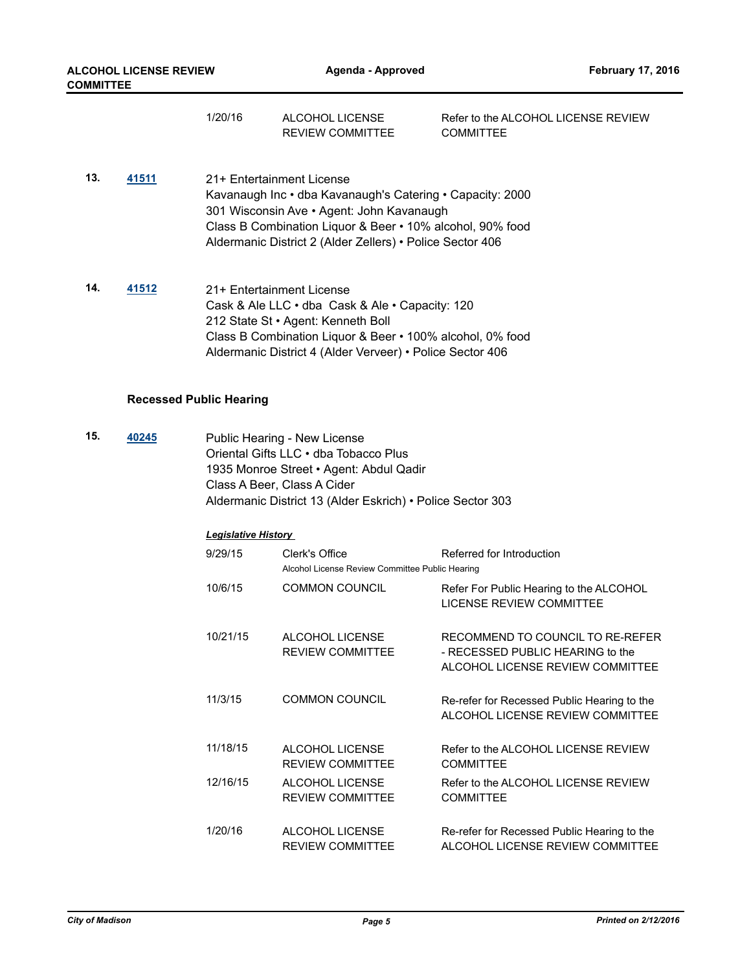|     |                                | 1/20/16                   | ALCOHOL LICENSE<br><b>REVIEW COMMITTEE</b>                                                                                                                                                                                       | Refer to the ALCOHOL LICENSE REVIEW<br><b>COMMITTEE</b> |
|-----|--------------------------------|---------------------------|----------------------------------------------------------------------------------------------------------------------------------------------------------------------------------------------------------------------------------|---------------------------------------------------------|
| 13. | 41511                          | 21+ Entertainment License | Kavanaugh Inc • dba Kavanaugh's Catering • Capacity: 2000<br>301 Wisconsin Ave • Agent: John Kavanaugh<br>Class B Combination Liquor & Beer • 10% alcohol, 90% food<br>Aldermanic District 2 (Alder Zellers) • Police Sector 406 |                                                         |
| 14. | 41512                          | 21+ Entertainment License | Cask & Ale LLC • dba Cask & Ale • Capacity: 120<br>212 State St · Agent: Kenneth Boll<br>Class B Combination Liquor & Beer • 100% alcohol, 0% food<br>Aldermanic District 4 (Alder Verveer) • Police Sector 406                  |                                                         |
|     | <b>Recessed Public Hearing</b> |                           |                                                                                                                                                                                                                                  |                                                         |
| 15. | 40245                          |                           | Public Hearing - New License<br>Oriental Gifts LLC • dba Tobacco Plus<br>1935 Monroe Street • Agent: Abdul Qadir                                                                                                                 |                                                         |

Class A Beer, Class A Cider

| Aldermanic District 13 (Alder Eskrich) • Police Sector 303 |  |  |  |  |
|------------------------------------------------------------|--|--|--|--|
|                                                            |  |  |  |  |

## *Legislative History*

| 9/29/15  | Clerk's Office<br>Alcohol License Review Committee Public Hearing | Referred for Introduction                                                                                |
|----------|-------------------------------------------------------------------|----------------------------------------------------------------------------------------------------------|
| 10/6/15  | <b>COMMON COUNCIL</b>                                             | Refer For Public Hearing to the ALCOHOL<br><b>LICENSE REVIEW COMMITTEE</b>                               |
| 10/21/15 | ALCOHOL LICENSE<br><b>REVIEW COMMITTEE</b>                        | RECOMMEND TO COUNCIL TO RE-REFER<br>- RECESSED PUBLIC HEARING to the<br>ALCOHOL LICENSE REVIEW COMMITTEE |
| 11/3/15  | <b>COMMON COUNCIL</b>                                             | Re-refer for Recessed Public Hearing to the<br>ALCOHOL LICENSE REVIEW COMMITTEE                          |
| 11/18/15 | <b>ALCOHOL LICENSE</b><br><b>REVIEW COMMITTEE</b>                 | Refer to the ALCOHOL LICENSE REVIEW<br><b>COMMITTEE</b>                                                  |
| 12/16/15 | <b>ALCOHOL LICENSE</b><br><b>REVIEW COMMITTEE</b>                 | Refer to the ALCOHOL LICENSE REVIEW<br><b>COMMITTEE</b>                                                  |
| 1/20/16  | ALCOHOL LICENSE<br><b>REVIEW COMMITTEE</b>                        | Re-refer for Recessed Public Hearing to the<br>ALCOHOL LICENSE REVIEW COMMITTEE                          |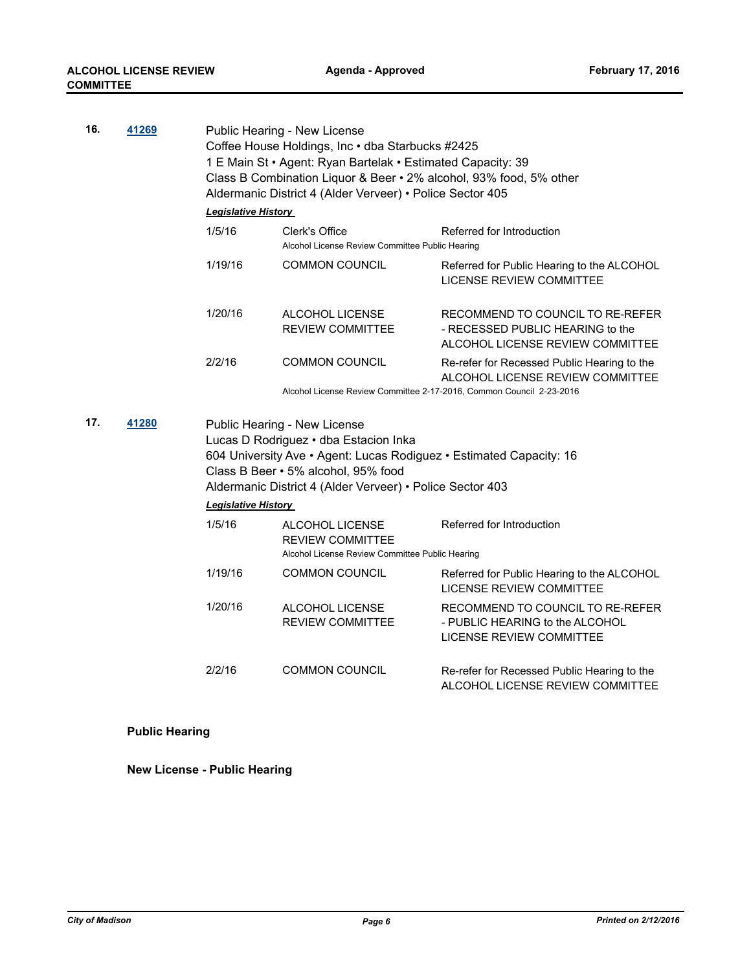| 16. | 41269 | Public Hearing - New License<br>Coffee House Holdings, Inc · dba Starbucks #2425<br>1 E Main St · Agent: Ryan Bartelak · Estimated Capacity: 39<br>Class B Combination Liquor & Beer • 2% alcohol, 93% food, 5% other<br>Aldermanic District 4 (Alder Verveer) • Police Sector 405 |                                                                                                |                                                                                                                                                         |  |  |  |  |  |
|-----|-------|------------------------------------------------------------------------------------------------------------------------------------------------------------------------------------------------------------------------------------------------------------------------------------|------------------------------------------------------------------------------------------------|---------------------------------------------------------------------------------------------------------------------------------------------------------|--|--|--|--|--|
|     |       |                                                                                                                                                                                                                                                                                    | <b>Legislative History</b>                                                                     |                                                                                                                                                         |  |  |  |  |  |
|     |       | 1/5/16                                                                                                                                                                                                                                                                             | Referred for Introduction<br>Clerk's Office<br>Alcohol License Review Committee Public Hearing |                                                                                                                                                         |  |  |  |  |  |
|     |       | 1/19/16                                                                                                                                                                                                                                                                            | <b>COMMON COUNCIL</b>                                                                          | Referred for Public Hearing to the ALCOHOL<br><b>LICENSE REVIEW COMMITTEE</b>                                                                           |  |  |  |  |  |
|     |       | 1/20/16                                                                                                                                                                                                                                                                            | <b>ALCOHOL LICENSE</b><br><b>REVIEW COMMITTEE</b>                                              | RECOMMEND TO COUNCIL TO RE-REFER<br>- RECESSED PUBLIC HEARING to the<br>ALCOHOL LICENSE REVIEW COMMITTEE                                                |  |  |  |  |  |
|     |       | 2/2/16                                                                                                                                                                                                                                                                             | <b>COMMON COUNCIL</b>                                                                          | Re-refer for Recessed Public Hearing to the<br>ALCOHOL LICENSE REVIEW COMMITTEE<br>Alcohol License Review Committee 2-17-2016, Common Council 2-23-2016 |  |  |  |  |  |
| 17. | 41280 | Public Hearing - New License<br>Lucas D Rodriguez · dba Estacion Inka<br>604 University Ave • Agent: Lucas Rodiguez • Estimated Capacity: 16<br>Class B Beer • 5% alcohol, 95% food<br>Aldermanic District 4 (Alder Verveer) • Police Sector 403                                   |                                                                                                |                                                                                                                                                         |  |  |  |  |  |
|     |       |                                                                                                                                                                                                                                                                                    |                                                                                                |                                                                                                                                                         |  |  |  |  |  |
|     |       | Legislative History<br>1/5/16                                                                                                                                                                                                                                                      | ALCOHOL LICENSE<br><b>REVIEW COMMITTEE</b><br>Alcohol License Review Committee Public Hearing  | Referred for Introduction                                                                                                                               |  |  |  |  |  |
|     |       | 1/19/16                                                                                                                                                                                                                                                                            | <b>COMMON COUNCIL</b>                                                                          | Referred for Public Hearing to the ALCOHOL<br><b>LICENSE REVIEW COMMITTEE</b>                                                                           |  |  |  |  |  |
|     |       | 1/20/16                                                                                                                                                                                                                                                                            | ALCOHOL LICENSE<br><b>REVIEW COMMITTEE</b>                                                     | RECOMMEND TO COUNCIL TO RE-REFER<br>- PUBLIC HEARING to the ALCOHOL<br>LICENSE REVIEW COMMITTEE                                                         |  |  |  |  |  |

## **Public Hearing**

**New License - Public Hearing**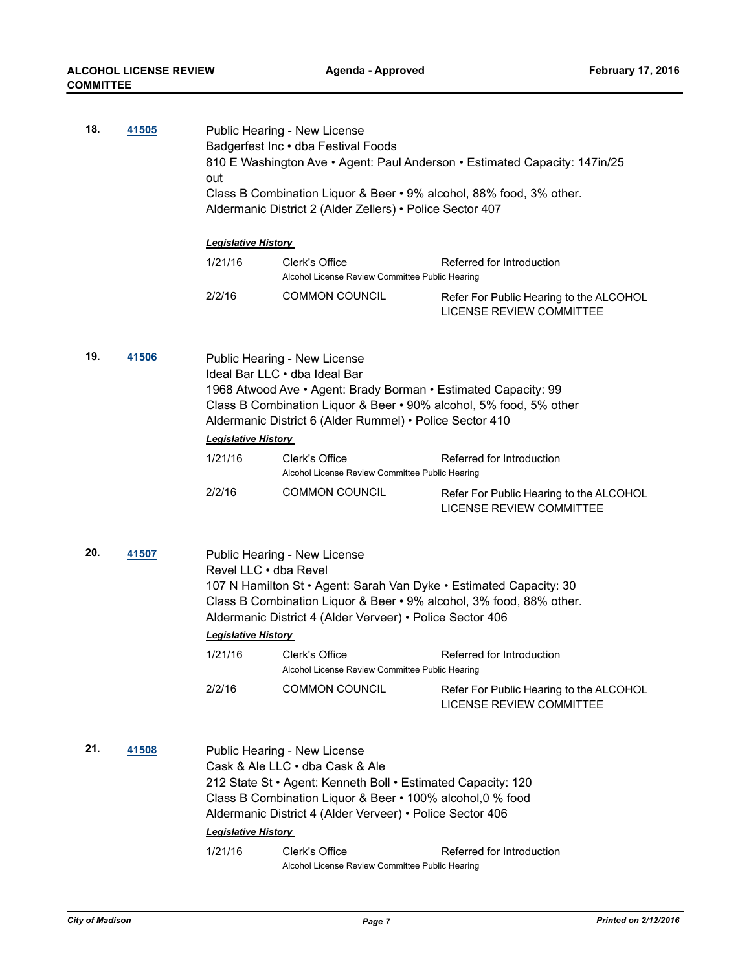| 18. | 41505 | Public Hearing - New License<br>Badgerfest Inc . dba Festival Foods<br>810 E Washington Ave • Agent: Paul Anderson • Estimated Capacity: 147in/25<br>out<br>Class B Combination Liquor & Beer • 9% alcohol, 88% food, 3% other.<br>Aldermanic District 2 (Alder Zellers) • Police Sector 407    |                                                                                                                                                                                                                                                                              |                                                                            |  |  |  |
|-----|-------|-------------------------------------------------------------------------------------------------------------------------------------------------------------------------------------------------------------------------------------------------------------------------------------------------|------------------------------------------------------------------------------------------------------------------------------------------------------------------------------------------------------------------------------------------------------------------------------|----------------------------------------------------------------------------|--|--|--|
|     |       | <b>Legislative History</b>                                                                                                                                                                                                                                                                      |                                                                                                                                                                                                                                                                              |                                                                            |  |  |  |
|     |       | 1/21/16                                                                                                                                                                                                                                                                                         | Clerk's Office<br>Alcohol License Review Committee Public Hearing                                                                                                                                                                                                            | Referred for Introduction                                                  |  |  |  |
|     |       | 2/2/16                                                                                                                                                                                                                                                                                          | <b>COMMON COUNCIL</b>                                                                                                                                                                                                                                                        | Refer For Public Hearing to the ALCOHOL<br><b>LICENSE REVIEW COMMITTEE</b> |  |  |  |
| 19. | 41506 | Public Hearing - New License<br>Ideal Bar LLC . dba Ideal Bar<br>1968 Atwood Ave • Agent: Brady Borman • Estimated Capacity: 99<br>Class B Combination Liquor & Beer . 90% alcohol, 5% food, 5% other<br>Aldermanic District 6 (Alder Rummel) • Police Sector 410<br><b>Legislative History</b> |                                                                                                                                                                                                                                                                              |                                                                            |  |  |  |
|     |       | 1/21/16                                                                                                                                                                                                                                                                                         | Clerk's Office<br>Alcohol License Review Committee Public Hearing                                                                                                                                                                                                            | Referred for Introduction                                                  |  |  |  |
|     |       | 2/2/16                                                                                                                                                                                                                                                                                          | <b>COMMON COUNCIL</b>                                                                                                                                                                                                                                                        | Refer For Public Hearing to the ALCOHOL<br>LICENSE REVIEW COMMITTEE        |  |  |  |
| 20. | 41507 | Revel LLC • dba Revel<br><b>Legislative History</b>                                                                                                                                                                                                                                             | Public Hearing - New License<br>107 N Hamilton St · Agent: Sarah Van Dyke · Estimated Capacity: 30<br>Class B Combination Liquor & Beer • 9% alcohol, 3% food, 88% other.<br>Aldermanic District 4 (Alder Verveer) • Police Sector 406                                       |                                                                            |  |  |  |
|     |       | 1/21/16                                                                                                                                                                                                                                                                                         | Clerk's Office<br>Alcohol License Review Committee Public Hearing                                                                                                                                                                                                            | Referred for Introduction                                                  |  |  |  |
|     |       | 2/2/16                                                                                                                                                                                                                                                                                          | <b>COMMON COUNCIL</b>                                                                                                                                                                                                                                                        | Refer For Public Hearing to the ALCOHOL<br><b>LICENSE REVIEW COMMITTEE</b> |  |  |  |
| 21. | 41508 | <b>Legislative History</b><br>1/21/16                                                                                                                                                                                                                                                           | Public Hearing - New License<br>Cask & Ale LLC . dba Cask & Ale<br>212 State St • Agent: Kenneth Boll • Estimated Capacity: 120<br>Class B Combination Liquor & Beer • 100% alcohol, 0 % food<br>Aldermanic District 4 (Alder Verveer) • Police Sector 406<br>Clerk's Office | Referred for Introduction                                                  |  |  |  |
|     |       |                                                                                                                                                                                                                                                                                                 | Alcohol License Review Committee Public Hearing                                                                                                                                                                                                                              |                                                                            |  |  |  |